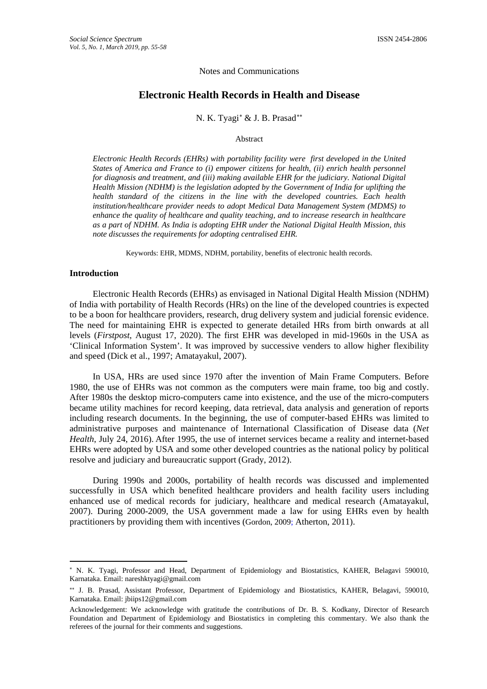#### Notes and Communications

# **Electronic Health Records in Health and Disease**

N. K. Tyagi[∗](#page-0-0) & J. B. Prasad[∗∗](#page-0-1)

#### Abstract

*Electronic Health Records (EHRs) with portability facility were first developed in the United States of America and France to (i) empower citizens for health, (ii) enrich health personnel for diagnosis and treatment, and (iii) making available EHR for the judiciary. National Digital Health Mission (NDHM) is the legislation adopted by the Government of India for uplifting the health standard of the citizens in the line with the developed countries. Each health institution/healthcare provider needs to adopt Medical Data Management System (MDMS) to enhance the quality of healthcare and quality teaching, and to increase research in healthcare as a part of NDHM. As India is adopting EHR under the National Digital Health Mission, this note discusses the requirements for adopting centralised EHR.*

Keywords: EHR, MDMS, NDHM, portability, benefits of electronic health records.

## **Introduction**

 $\overline{a}$ 

Electronic Health Records (EHRs) as envisaged in National Digital Health Mission (NDHM) of India with portability of Health Records (HRs) on the line of the developed countries is expected to be a boon for healthcare providers, research, drug delivery system and judicial forensic evidence. The need for maintaining EHR is expected to generate detailed HRs from birth onwards at all levels (*Firstpost*, August 17, 2020). The first EHR was developed in mid-1960s in the USA as 'Clinical Information System'. It was improved by successive venders to allow higher flexibility and speed (Dick et al., 1997; Amatayakul, 2007).

In USA, HRs are used since 1970 after the invention of Main Frame Computers. Before 1980, the use of EHRs was not common as the computers were main frame, too big and costly. After 1980s the desktop micro-computers came into existence, and the use of the micro-computers became utility machines for record keeping, data retrieval, data analysis and generation of reports including research documents. In the beginning, the use of computer-based EHRs was limited to administrative purposes and maintenance of International Classification of Disease data (*Net Health*, July 24, 2016). After 1995, the use of internet services became a reality and internet-based EHRs were adopted by USA and some other developed countries as the national policy by political resolve and judiciary and bureaucratic support (Grady, 2012).

During 1990s and 2000s, portability of health records was discussed and implemented successfully in USA which benefited healthcare providers and health facility users including enhanced use of medical records for judiciary, healthcare and medical research (Amatayakul, 2007). During 2000-2009, the USA government made a law for using EHRs even by health practitioners by providing them with incentives (Gordon, 2009; Atherton, 2011).

<span id="page-0-0"></span><sup>∗</sup> N. K. Tyagi, Professor and Head, Department of Epidemiology and Biostatistics, KAHER, Belagavi 590010, Karnataka. Email: nareshktyagi@gmail.com

<span id="page-0-1"></span><sup>∗∗</sup> J. B. Prasad, Assistant Professor, Department of Epidemiology and Biostatistics, KAHER, Belagavi, 590010, Karnataka. Email: jbiips12@gmail.com

Acknowledgement: We acknowledge with gratitude the contributions of Dr. B. S. Kodkany, Director of Research Foundation and Department of Epidemiology and Biostatistics in completing this commentary. We also thank the referees of the journal for their comments and suggestions.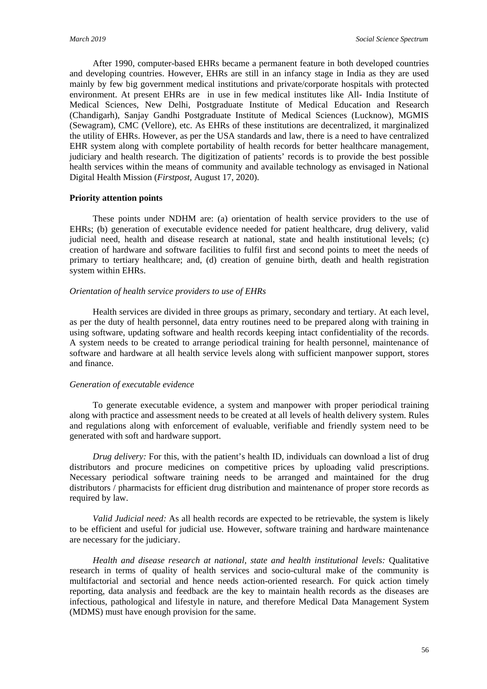After 1990, computer-based EHRs became a permanent feature in both developed countries and developing countries. However, EHRs are still in an infancy stage in India as they are used mainly by few big government medical institutions and private/corporate hospitals with protected environment. At present EHRs are in use in few medical institutes like All- India Institute of Medical Sciences, New Delhi, Postgraduate Institute of Medical Education and Research (Chandigarh), Sanjay Gandhi Postgraduate Institute of Medical Sciences (Lucknow), MGMIS (Sewagram), CMC (Vellore), etc. As EHRs of these institutions are decentralized, it marginalized the utility of EHRs. However, as per the USA standards and law, there is a need to have centralized EHR system along with complete portability of health records for better healthcare management, judiciary and health research. The digitization of patients' records is to provide the best possible health services within the means of community and available technology as envisaged in National Digital Health Mission (*Firstpost,* August 17, 2020).

## **Priority attention points**

These points under NDHM are: (a) orientation of health service providers to the use of EHRs; (b) generation of executable evidence needed for patient healthcare, drug delivery, valid judicial need, health and disease research at national, state and health institutional levels; (c) creation of hardware and software facilities to fulfil first and second points to meet the needs of primary to tertiary healthcare; and, (d) creation of genuine birth, death and health registration system within EHRs.

## *Orientation of health service providers to use of EHRs*

Health services are divided in three groups as primary, secondary and tertiary. At each level, as per the duty of health personnel, data entry routines need to be prepared along with training in using software, updating software and health records keeping intact confidentiality of the records. A system needs to be created to arrange periodical training for health personnel, maintenance of software and hardware at all health service levels along with sufficient manpower support, stores and finance.

## *Generation of executable evidence*

To generate executable evidence, a system and manpower with proper periodical training along with practice and assessment needs to be created at all levels of health delivery system. Rules and regulations along with enforcement of evaluable, verifiable and friendly system need to be generated with soft and hardware support.

*Drug delivery:* For this, with the patient's health ID, individuals can download a list of drug distributors and procure medicines on competitive prices by uploading valid prescriptions. Necessary periodical software training needs to be arranged and maintained for the drug distributors / pharmacists for efficient drug distribution and maintenance of proper store records as required by law.

*Valid Judicial need:* As all health records are expected to be retrievable, the system is likely to be efficient and useful for judicial use. However, software training and hardware maintenance are necessary for the judiciary.

*Health and disease research at national, state and health institutional levels:* Qualitative research in terms of quality of health services and socio-cultural make of the community is multifactorial and sectorial and hence needs action-oriented research. For quick action timely reporting, data analysis and feedback are the key to maintain health records as the diseases are infectious, pathological and lifestyle in nature, and therefore Medical Data Management System (MDMS) must have enough provision for the same.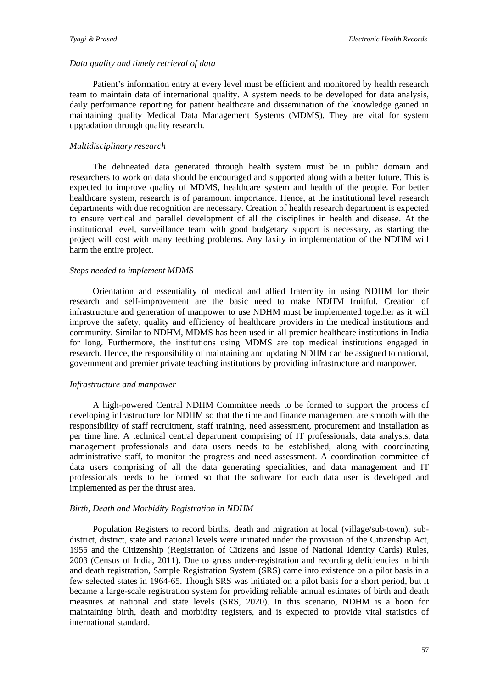### *Data quality and timely retrieval of data*

Patient's information entry at every level must be efficient and monitored by health research team to maintain data of international quality. A system needs to be developed for data analysis, daily performance reporting for patient healthcare and dissemination of the knowledge gained in maintaining quality Medical Data Management Systems (MDMS). They are vital for system upgradation through quality research.

#### *Multidisciplinary research*

The delineated data generated through health system must be in public domain and researchers to work on data should be encouraged and supported along with a better future. This is expected to improve quality of MDMS, healthcare system and health of the people. For better healthcare system, research is of paramount importance. Hence, at the institutional level research departments with due recognition are necessary. Creation of health research department is expected to ensure vertical and parallel development of all the disciplines in health and disease. At the institutional level, surveillance team with good budgetary support is necessary, as starting the project will cost with many teething problems. Any laxity in implementation of the NDHM will harm the entire project.

## *Steps needed to implement MDMS*

Orientation and essentiality of medical and allied fraternity in using NDHM for their research and self-improvement are the basic need to make NDHM fruitful. Creation of infrastructure and generation of manpower to use NDHM must be implemented together as it will improve the safety, quality and efficiency of healthcare providers in the medical institutions and community. Similar to NDHM, MDMS has been used in all premier healthcare institutions in India for long. Furthermore, the institutions using MDMS are top medical institutions engaged in research. Hence, the responsibility of maintaining and updating NDHM can be assigned to national, government and premier private teaching institutions by providing infrastructure and manpower.

## *Infrastructure and manpower*

A high-powered Central NDHM Committee needs to be formed to support the process of developing infrastructure for NDHM so that the time and finance management are smooth with the responsibility of staff recruitment, staff training, need assessment, procurement and installation as per time line. A technical central department comprising of IT professionals, data analysts, data management professionals and data users needs to be established, along with coordinating administrative staff, to monitor the progress and need assessment. A coordination committee of data users comprising of all the data generating specialities, and data management and IT professionals needs to be formed so that the software for each data user is developed and implemented as per the thrust area.

### *Birth, Death and Morbidity Registration in NDHM*

Population Registers to record births, death and migration at local (village/sub-town), subdistrict, district, state and national levels were initiated under the provision of the Citizenship Act, 1955 and the Citizenship (Registration of Citizens and Issue of National Identity Cards) Rules, 2003 (Census of India, 2011). Due to gross under-registration and recording deficiencies in birth and death registration, Sample Registration System (SRS) came into existence on a pilot basis in a few selected states in 1964-65. Though SRS was initiated on a pilot basis for a short period, but it became a large-scale registration system for providing reliable annual estimates of birth and death measures at national and state levels (SRS, 2020). In this scenario, NDHM is a boon for maintaining birth, death and morbidity registers, and is expected to provide vital statistics of international standard.